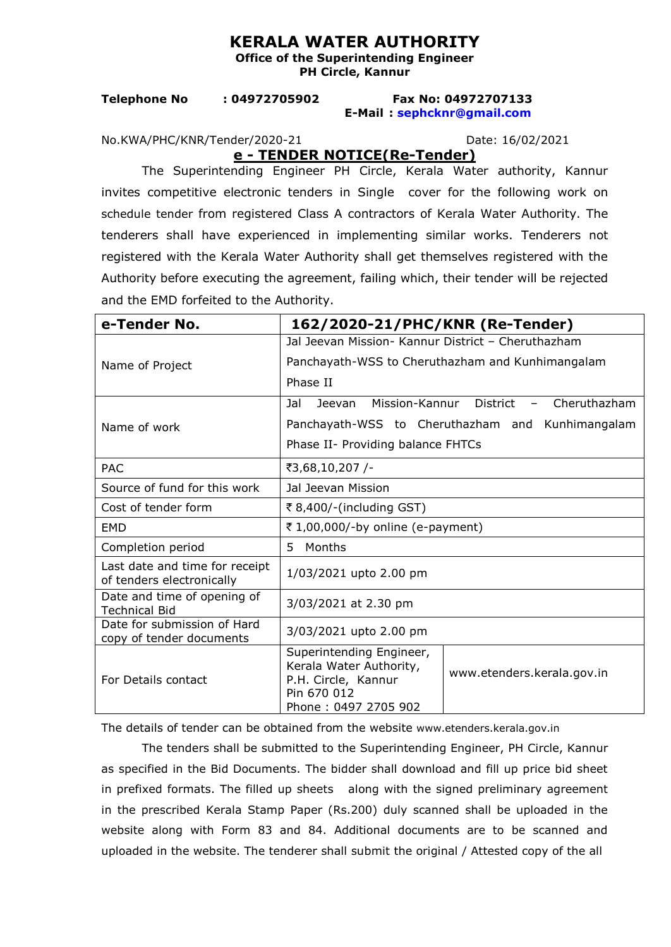## **KERALA WATER AUTHORITY**

**Office of the Superintending Engineer PH Circle, Kannur** 

**Telephone No : 04972705902 Fax No: 04972707133 E-Mail : [sephcknr@gmail.com](mailto:sephcknr@gmail.com)**

No.KWA/PHC/KNR/Tender/2020-21 Date: 16/02/2021

**e - TENDER NOTICE(Re-Tender)**

The Superintending Engineer PH Circle, Kerala Water authority, Kannur invites competitive electronic tenders in Single cover for the following work on schedule tender from registered Class A contractors of Kerala Water Authority. The tenderers shall have experienced in implementing similar works. Tenderers not registered with the Kerala Water Authority shall get themselves registered with the Authority before executing the agreement, failing which, their tender will be rejected and the EMD forfeited to the Authority.

| e-Tender No.                                                | 162/2020-21/PHC/KNR (Re-Tender)                                                                                   |                                                           |
|-------------------------------------------------------------|-------------------------------------------------------------------------------------------------------------------|-----------------------------------------------------------|
|                                                             | Jal Jeevan Mission- Kannur District - Cheruthazham                                                                |                                                           |
| Name of Project                                             | Panchayath-WSS to Cheruthazham and Kunhimangalam                                                                  |                                                           |
|                                                             | Phase II                                                                                                          |                                                           |
| Name of work                                                | Jal<br>Jeevan                                                                                                     | Mission-Kannur District<br>Cheruthazham<br>$\sim$ 10 $\,$ |
|                                                             | Panchayath-WSS to Cheruthazham and Kunhimangalam                                                                  |                                                           |
|                                                             | Phase II- Providing balance FHTCs                                                                                 |                                                           |
| <b>PAC</b>                                                  | ₹3,68,10,207 /-                                                                                                   |                                                           |
| Source of fund for this work                                | Jal Jeevan Mission                                                                                                |                                                           |
| Cost of tender form                                         | ₹ 8,400/-(including GST)                                                                                          |                                                           |
| <b>EMD</b>                                                  | ₹ 1,00,000/-by online (e-payment)                                                                                 |                                                           |
| Completion period                                           | Months<br>5.                                                                                                      |                                                           |
| Last date and time for receipt<br>of tenders electronically | 1/03/2021 upto 2.00 pm                                                                                            |                                                           |
| Date and time of opening of<br><b>Technical Bid</b>         | 3/03/2021 at 2.30 pm                                                                                              |                                                           |
| Date for submission of Hard<br>copy of tender documents     | 3/03/2021 upto 2.00 pm                                                                                            |                                                           |
| For Details contact                                         | Superintending Engineer,<br>Kerala Water Authority,<br>P.H. Circle, Kannur<br>Pin 670 012<br>Phone: 0497 2705 902 | www.etenders.kerala.gov.in                                |

The details of tender can be obtained from the website www.etenders.kerala.gov.in

The tenders shall be submitted to the Superintending Engineer, PH Circle, Kannur as specified in the Bid Documents. The bidder shall download and fill up price bid sheet in prefixed formats. The filled up sheetsalong with the signed preliminary agreement in the prescribed Kerala Stamp Paper (Rs.200) duly scanned shall be uploaded in the website along with Form 83 and 84. Additional documents are to be scanned and uploaded in the website. The tenderer shall submit the original / Attested copy of the all